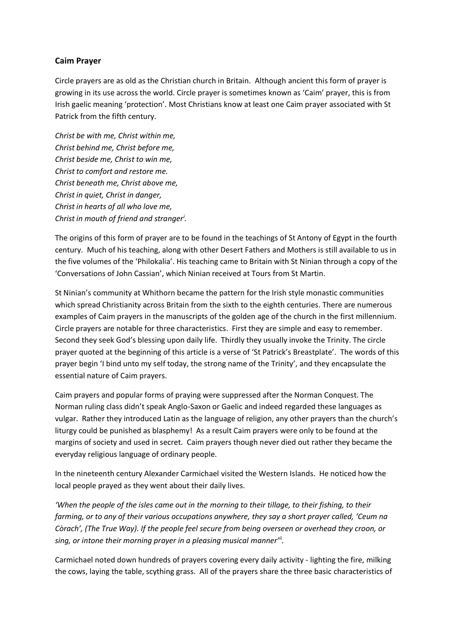## **Caim Prayer**

Circle prayers are as old as the Christian church in Britain. Although ancient this form of prayer is growing in its use across the world. Circle prayer is sometimes known as 'Caim' prayer, this is from Irish gaelic meaning 'protection'. Most Christians know at least one Caim prayer associated with St Patrick from the fifth century.

*Christ be with me, Christ within me, Christ behind me, Christ before me, Christ beside me, Christ to win me, Christ to comfort and restore me. Christ beneath me, Christ above me, Christ in quiet, Christ in danger, Christ in hearts of all who love me, Christ in mouth of friend and stranger<sup>i</sup> .*

The origins of this form of prayer are to be found in the teachings of St Antony of Egypt in the fourth century. Much of his teaching, along with other Desert Fathers and Mothers is still available to us in the five volumes of the 'Philokalia'. His teaching came to Britain with St Ninian through a copy of the 'Conversations of John Cassian', which Ninian received at Tours from St Martin.

St Ninian's community at Whithorn became the pattern for the Irish style monastic communities which spread Christianity across Britain from the sixth to the eighth centuries. There are numerous examples of Caim prayers in the manuscripts of the golden age of the church in the first millennium. Circle prayers are notable for three characteristics. First they are simple and easy to remember. Second they seek God's blessing upon daily life. Thirdly they usually invoke the Trinity. The circle prayer quoted at the beginning of this article is a verse of 'St Patrick's Breastplate'. The words of this prayer begin 'I bind unto my self today, the strong name of the Trinity', and they encapsulate the essential nature of Caim prayers.

Caim prayers and popular forms of praying were suppressed after the Norman Conquest. The Norman ruling class didn't speak Anglo-Saxon or Gaelic and indeed regarded these languages as vulgar. Rather they introduced Latin as the language of religion, any other prayers than the church's liturgy could be punished as blasphemy! As a result Caim prayers were only to be found at the margins of society and used in secret. Caim prayers though never died out rather they became the everyday religious language of ordinary people.

In the nineteenth century Alexander Carmichael visited the Western Islands. He noticed how the local people prayed as they went about their daily lives.

*'When the people of the isles came out in the morning to their tillage, to their fishing, to their farming, or to any of their various occupations anywhere, they say a short prayer called, 'Ceum na Còrach', (The True Way). If the people feel secure from being overseen or overhead they croon, or sing, or intone their morning prayer in a pleasing musical manner'ii .*

Carmichael noted down hundreds of prayers covering every daily activity - lighting the fire, milking the cows, laying the table, scything grass. All of the prayers share the three basic characteristics of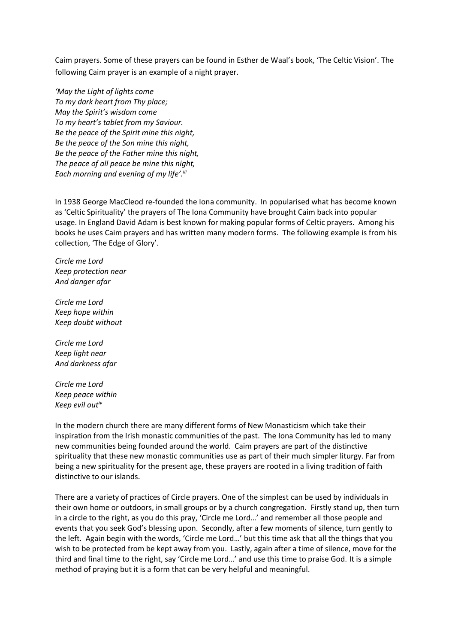Caim prayers. Some of these prayers can be found in Esther de Waal's book, 'The Celtic Vision'. The following Caim prayer is an example of a night prayer.

*'May the Light of lights come To my dark heart from Thy place; May the Spirit's wisdom come To my heart's tablet from my Saviour. Be the peace of the Spirit mine this night, Be the peace of the Son mine this night, Be the peace of the Father mine this night, The peace of all peace be mine this night, Each morning and evening of my life'.iii*

In 1938 George MacCleod re-founded the Iona community. In popularised what has become known as 'Celtic Spirituality' the prayers of The Iona Community have brought Caim back into popular usage. In England David Adam is best known for making popular forms of Celtic prayers. Among his books he uses Caim prayers and has written many modern forms. The following example is from his collection, 'The Edge of Glory'.

*Circle me Lord Keep protection near And danger afar*

*Circle me Lord Keep hope within Keep doubt without*

*Circle me Lord Keep light near And darkness afar*

*Circle me Lord Keep peace within Keep evil outiv*

In the modern church there are many different forms of New Monasticism which take their inspiration from the Irish monastic communities of the past. The Iona Community has led to many new communities being founded around the world. Caim prayers are part of the distinctive spirituality that these new monastic communities use as part of their much simpler liturgy. Far from being a new spirituality for the present age, these prayers are rooted in a living tradition of faith distinctive to our islands.

There are a variety of practices of Circle prayers. One of the simplest can be used by individuals in their own home or outdoors, in small groups or by a church congregation. Firstly stand up, then turn in a circle to the right, as you do this pray, 'Circle me Lord…' and remember all those people and events that you seek God's blessing upon. Secondly, after a few moments of silence, turn gently to the left. Again begin with the words, 'Circle me Lord…' but this time ask that all the things that you wish to be protected from be kept away from you. Lastly, again after a time of silence, move for the third and final time to the right, say 'Circle me Lord…' and use this time to praise God. It is a simple method of praying but it is a form that can be very helpful and meaningful.